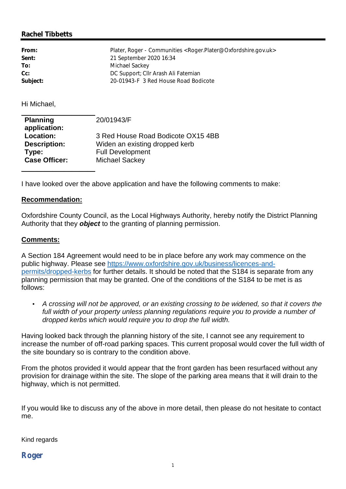## **Rachel Tibbetts**

| From:    | Plater, Roger - Communities < Roger.Plater@Oxfordshire.gov.uk > |
|----------|-----------------------------------------------------------------|
| Sent:    | 21 September 2020 16:34                                         |
| To:      | Michael Sackey                                                  |
| $Cc$ :   | DC Support; Cllr Arash Ali Fatemian                             |
| Subject: | 20-01943-F 3 Red House Road Bodicote                            |

Hi Michael,

| <b>Planning</b>      | 20/01943/F                         |
|----------------------|------------------------------------|
| application:         |                                    |
| Location:            | 3 Red House Road Bodicote OX15 4BB |
| <b>Description:</b>  | Widen an existing dropped kerb     |
| Type:                | <b>Full Development</b>            |
| <b>Case Officer:</b> | Michael Sackey                     |
|                      |                                    |

I have looked over the above application and have the following comments to make:

## **Recommendation:**

Oxfordshire County Council, as the Local Highways Authority, hereby notify the District Planning Authority that they *object* to the granting of planning permission.

## **Comments:**

A Section 184 Agreement would need to be in place before any work may commence on the public highway. Please see https://www.oxfordshire.gov.uk/business/licences-andpermits/dropped-kerbs for further details. It should be noted that the S184 is separate from any planning permission that may be granted. One of the conditions of the S184 to be met is as follows:

• *A crossing will not be approved, or an existing crossing to be widened, so that it covers the*  full width of your property unless planning regulations require you to provide a number of *dropped kerbs which would require you to drop the full width.*

Having looked back through the planning history of the site, I cannot see any requirement to increase the number of off-road parking spaces. This current proposal would cover the full width of the site boundary so is contrary to the condition above.

From the photos provided it would appear that the front garden has been resurfaced without any provision for drainage within the site. The slope of the parking area means that it will drain to the highway, which is not permitted.

If you would like to discuss any of the above in more detail, then please do not hesitate to contact me.

Kind regards

*Roger*